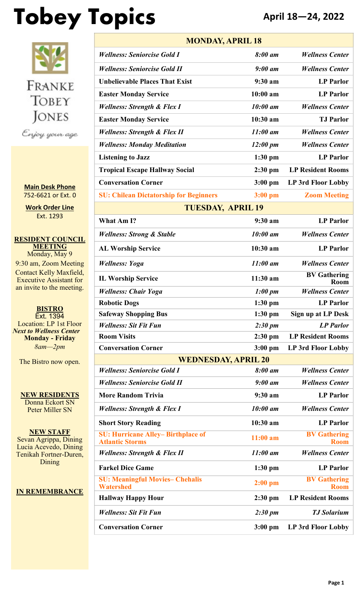# **Tobey Topics April 18—24, 2022**



**Main Desk Phone** 752-6621 or Ext. 0

**Work Order Line** Ext. 1293

**RESIDENT COUNCIL MEETING** Monday, May 9 9:30 am, Zoom Meeting Contact Kelly Maxfield, Executive Assistant for an invite to the meeting.

**BISTRO** Ext. 1394 Location: LP 1st Floor *Next to Wellness Center* **Monday - Friday** *8am—2pm*

The Bistro now open.

**NEW RESIDENTS** Donna Eckort SN Peter Miller SN

**NEW STAFF** Sevan Agrippa, Dining Lucia Acevedo, Dining Tenikah Fortner-Duren, **Dining** 

#### **IN REMEMBRANCE**

| <b>MONDAY, APRIL 18</b>                                            |                     |                                    |  |  |  |
|--------------------------------------------------------------------|---------------------|------------------------------------|--|--|--|
| <b>Wellness: Seniorcise Gold I</b>                                 | 8:00 am             | <b>Wellness Center</b>             |  |  |  |
| <b>Wellness: Seniorcise Gold II</b>                                | $9:00$ am           | <b>Wellness Center</b>             |  |  |  |
| <b>Unbelievable Places That Exist</b>                              | $9:30$ am           | <b>LP</b> Parlor                   |  |  |  |
| <b>Easter Monday Service</b>                                       | $10:00$ am          | <b>LP</b> Parlor                   |  |  |  |
| <b>Wellness: Strength &amp; Flex I</b>                             | $10:00$ am          | <b>Wellness Center</b>             |  |  |  |
| <b>Easter Monday Service</b>                                       | $10:30$ am          | <b>T.J Parlor</b>                  |  |  |  |
| <b>Wellness: Strength &amp; Flex II</b>                            | $11:00$ am          | <b>Wellness Center</b>             |  |  |  |
| <b>Wellness: Monday Meditation</b>                                 | $12:00 \text{ pm}$  | <b>Wellness Center</b>             |  |  |  |
| <b>Listening to Jazz</b>                                           | $1:30$ pm           | <b>LP</b> Parlor                   |  |  |  |
| <b>Tropical Escape Hallway Social</b>                              | $2:30$ pm           | <b>LP Resident Rooms</b>           |  |  |  |
| <b>Conversation Corner</b>                                         | $3:00$ pm           | LP 3rd Floor Lobby                 |  |  |  |
| <b>SU: Chilean Dictatorship for Beginners</b>                      | $3:00$ pm           | <b>Zoom Meeting</b>                |  |  |  |
| <b>TUESDAY, APRIL 19</b>                                           |                     |                                    |  |  |  |
| What Am I?                                                         | 9:30 a <sub>m</sub> | <b>LP</b> Parlor                   |  |  |  |
| <b>Wellness: Strong &amp; Stable</b>                               | 10:00 am            | <b>Wellness Center</b>             |  |  |  |
| <b>AL Worship Service</b>                                          | $10:30$ am          | <b>LP</b> Parlor                   |  |  |  |
| <b>Wellness: Yoga</b>                                              | $11:00$ am          | <b>Wellness Center</b>             |  |  |  |
| <b>IL Worship Service</b>                                          | 11:30 am            | <b>BV Gathering</b><br><b>Room</b> |  |  |  |
| <b>Wellness: Chair Yoga</b>                                        | 1:00~pm             | <b>Wellness Center</b>             |  |  |  |
| <b>Robotic Dogs</b>                                                | $1:30$ pm           | <b>LP</b> Parlor                   |  |  |  |
| <b>Safeway Shopping Bus</b>                                        | $1:30$ pm           | Sign up at LP Desk                 |  |  |  |
| <b>Wellness: Sit Fit Fun</b>                                       | $2:30 \text{ pm}$   | <b>LP</b> Parlor                   |  |  |  |
| <b>Room Visits</b>                                                 | $2:30$ pm           | <b>LP Resident Rooms</b>           |  |  |  |
| <b>Conversation Corner</b>                                         | $3:00$ pm           | LP 3rd Floor Lobby                 |  |  |  |
| <b>WEDNESDAY, APRIL 20</b>                                         |                     |                                    |  |  |  |
| <b>Wellness: Seniorcise Gold I</b>                                 | 8:00 am             | <b>Wellness Center</b>             |  |  |  |
| <b>Wellness: Seniorcise Gold II</b>                                | $9:00$ am           | <b>Wellness Center</b>             |  |  |  |
| <b>More Random Trivia</b>                                          | $9:30$ am           | <b>LP Parlor</b>                   |  |  |  |
| <b>Wellness: Strength &amp; Flex I</b>                             | 10:00 am            | <b>Wellness Center</b>             |  |  |  |
| <b>Short Story Reading</b>                                         | $10:30$ am          | <b>LP</b> Parlor                   |  |  |  |
| <b>SU: Hurricane Alley-Birthplace of</b><br><b>Atlantic Storms</b> | $11:00$ am          | <b>BV Gathering</b><br><b>Room</b> |  |  |  |
| <b>Wellness: Strength &amp; Flex II</b>                            | $11:00$ am          | <b>Wellness Center</b>             |  |  |  |
| <b>Farkel Dice Game</b>                                            | $1:30$ pm           | <b>LP Parlor</b>                   |  |  |  |
| <b>SU: Meaningful Movies- Chehalis</b><br><b>Watershed</b>         | $2:00$ pm           | <b>BV Gathering</b><br><b>Room</b> |  |  |  |
| <b>Hallway Happy Hour</b>                                          | $2:30$ pm           | <b>LP Resident Rooms</b>           |  |  |  |
| <b>Wellness: Sit Fit Fun</b>                                       | $2:30 \text{ pm}$   | <b>TJ Solarium</b>                 |  |  |  |
| <b>Conversation Corner</b>                                         | $3:00$ pm           | <b>LP 3rd Floor Lobby</b>          |  |  |  |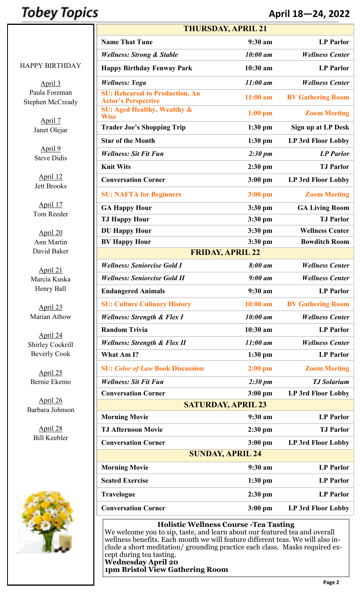### **Tobey Topics**

### **April 18—24, 2022**

#### HAPPY BIRTHDAY

April 3 Paula Foreman Stephen McCready

> April 7 Janet Olejar

April 9 Steve Didis

April 12 Jett Brooks

April 17 Tom Reeder

April 20 Ann Martin David Baker

April 21 Marcia Kuska Henry Ball

April 23 Marian Athow

April 24 Shirley Cockrill Beverly Cook

April 25 Bernie Ekemo

April 26 Barbara Johnson

> April 28 Bill Keebler



| <b>THURSDAY, APRIL 21</b>                                            |                   |                           |  |  |  |
|----------------------------------------------------------------------|-------------------|---------------------------|--|--|--|
| <b>Name That Tune</b>                                                | 9:30 am           | <b>LP Parlor</b>          |  |  |  |
| <b>Wellness: Strong &amp; Stable</b>                                 | 10:00 am          | <b>Wellness Center</b>    |  |  |  |
| <b>Happy Birthday Fenway Park</b>                                    | $10:30$ am        | <b>LP</b> Parlor          |  |  |  |
| <b>Wellness: Yoga</b>                                                | $11:00$ am        | <b>Wellness Center</b>    |  |  |  |
| <b>SU: Rehearsal to Production, An</b><br><b>Actor's Perspective</b> | $11:00$ am        | <b>BV Gathering Room</b>  |  |  |  |
| <b>SU: Aged Healthy, Wealthy &amp;</b><br><b>Wise</b>                | $1:00$ pm         | <b>Zoom Meeting</b>       |  |  |  |
| <b>Trader Joe's Shopping Trip</b>                                    | $1:30$ pm         | Sign up at LP Desk        |  |  |  |
| <b>Star of the Month</b>                                             | $1:30$ pm         | <b>LP 3rd Floor Lobby</b> |  |  |  |
| <b>Wellness: Sit Fit Fun</b>                                         | $2:30 \text{ pm}$ | <b>LP</b> Parlor          |  |  |  |
| <b>Knit Wits</b>                                                     | $2:30$ pm         | <b>TJ</b> Parlor          |  |  |  |
| <b>Conversation Corner</b>                                           | $3:00$ pm         | LP 3rd Floor Lobby        |  |  |  |
| <b>SU: NAFTA for Beginners</b>                                       | $3:00$ pm         | <b>Zoom Meeting</b>       |  |  |  |
| <b>GA Happy Hour</b>                                                 | $3:30$ pm         | <b>GA Living Room</b>     |  |  |  |
| <b>TJ Happy Hour</b>                                                 | $3:30$ pm         | <b>TJ</b> Parlor          |  |  |  |
| <b>DU Happy Hour</b>                                                 | $3:30$ pm         | <b>Wellness Center</b>    |  |  |  |
| <b>BV Happy Hour</b>                                                 | $3:30$ pm         | <b>Bowditch Room</b>      |  |  |  |
| <b>FRIDAY, APRIL 22</b>                                              |                   |                           |  |  |  |
| <b>Wellness: Seniorcise Gold I</b>                                   | 8:00 am           | <b>Wellness Center</b>    |  |  |  |
| <b>Wellness: Seniorcise Gold II</b>                                  | $9:00$ am         | <b>Wellness Center</b>    |  |  |  |
| <b>Endangered Animals</b>                                            | 9:30 a m          | <b>LP Parlor</b>          |  |  |  |
| <b>SU: Culture Culinary History</b>                                  | $10:00$ am        | <b>BV Gathering Room</b>  |  |  |  |
| <b>Wellness: Strength &amp; Flex I</b>                               | 10:00 am          | <b>Wellness Center</b>    |  |  |  |
| <b>Random Trivia</b>                                                 | $10:30$ am        | <b>LP</b> Parlor          |  |  |  |
| <b>Wellness: Strength &amp; Flex II</b>                              | $11:00$ am        | <b>Wellness Center</b>    |  |  |  |
| What Am I?                                                           | $1:30$ pm         | <b>LP</b> Parlor          |  |  |  |
| <b>SU: Color of Law Book Discussion</b>                              | $2:00$ pm         | <b>Zoom Meeting</b>       |  |  |  |
| <b>Wellness: Sit Fit Fun</b>                                         | $2:30 \text{ pm}$ | <b>TJ</b> Solarium        |  |  |  |
| <b>Conversation Corner</b>                                           | $3:00$ pm         | LP 3rd Floor Lobby        |  |  |  |
| <b>SATURDAY, APRIL 23</b>                                            |                   |                           |  |  |  |
| <b>Morning Movie</b>                                                 | 9:30 am           | <b>LP</b> Parlor          |  |  |  |
| <b>TJ Afternoon Movie</b>                                            | $2:30$ pm         | <b>TJ</b> Parlor          |  |  |  |
| <b>Conversation Corner</b>                                           | $3:00$ pm         | LP 3rd Floor Lobby        |  |  |  |
| <b>SUNDAY, APRIL 24</b>                                              |                   |                           |  |  |  |
| <b>Morning Movie</b>                                                 | 9:30 am           | <b>LP</b> Parlor          |  |  |  |
| <b>Seated Exercise</b>                                               | $1:30$ pm         | <b>LP Parlor</b>          |  |  |  |
| <b>Travelogue</b>                                                    | $2:30$ pm         | <b>LP Parlor</b>          |  |  |  |
| <b>Conversation Corner</b>                                           | $3:00$ pm         | LP 3rd Floor Lobby        |  |  |  |

#### **Holistic Wellness Course -Tea Tasting**

We welcome you to sip, taste, and learn about our featured tea and overall wellness benefits. Each month we will feature different teas. We will also include a short meditation/ grounding practice each class. Masks required except during tea tasting. **Wednesday April 20**

#### **1pm Bristol View Gathering Room**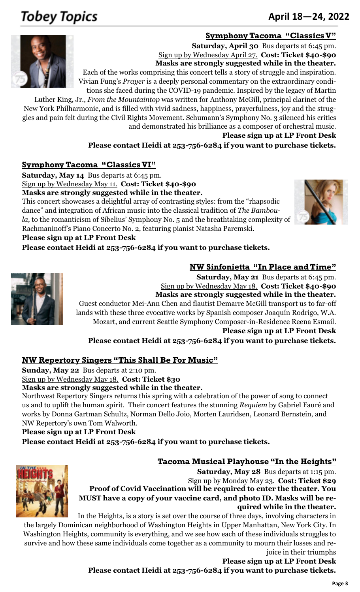## **Tobey Topics**

### June 18-24, 2012 <sup>253</sup>-752-<sup>6621</sup> **April 18—24, 2022**

#### **Symphony Tacoma "Classics V"**



**Saturday, April 30** Bus departs at 6:45 pm. Sign up by Wednesday April 27. **Cost: Ticket \$40-\$90 Masks are strongly suggested while in the theater.** Each of the works comprising this concert tells a story of struggle and inspiration.

Vivian Fung's *Prayer* is a deeply personal commentary on the extraordinary conditions she faced during the COVID-19 pandemic. Inspired by the legacy of Martin

Luther King, Jr., *From the Mountaintop* was written for Anthony McGill, principal clarinet of the New York Philharmonic, and is filled with vivid sadness, happiness, prayerfulness, joy and the struggles and pain felt during the Civil Rights Movement. Schumann's Symphony No. 3 silenced his critics and demonstrated his brilliance as a composer of orchestral music.

**Please sign up at LP Front Desk**

**NW Sinfonietta "In Place and Time"**

**Please contact Heidi at 253-756-6284 if you want to purchase tickets.**

#### **Symphony Tacoma "Classics VI"**

**Saturday, May 14** Bus departs at 6:45 pm.

Sign up by Wednesday May 11. **Cost: Ticket \$40-\$90**

**Masks are strongly suggested while in the theater.**

This concert showcases a delightful array of contrasting styles: from the "rhapsodic dance" and integration of African music into the classical tradition of *The Bamboula,* to the romanticism of Sibelius' Symphony No. 5 and the breathtaking complexity of Rachmaninoff's Piano Concerto No. 2, featuring pianist Natasha Paremski.



#### **Please sign up at LP Front Desk**

**Please contact Heidi at 253-756-6284 if you want to purchase tickets.**



**Saturday, May 21** Bus departs at 6:45 pm. Sign up by Wednesday May 18. **Cost: Ticket \$40-\$90 Masks are strongly suggested while in the theater.** Guest conductor Mei-Ann Chen and flautist Demarre McGill transport us to far-off lands with these three evocative works by Spanish composer Joaquín Rodrigo, W.A. Mozart, and current Seattle Symphony Composer-in-Residence Reena Esmail. **Please sign up at LP Front Desk**

**Please contact Heidi at 253-756-6284 if you want to purchase tickets.**

#### **NW Repertory Singers "This Shall Be For Music"**

**Sunday, May 22** Bus departs at 2:10 pm.

Sign up by Wednesday May 18. **Cost: Ticket \$30**

**Masks are strongly suggested while in the theater.**

Northwest Repertory Singers returns this spring with a celebration of the power of song to connect us and to uplift the human spirit. Their concert features the stunning *Requiem* by Gabriel Fauré and works by Donna Gartman Schultz, Norman Dello Joio, Morten Lauridsen, Leonard Bernstein, and NW Repertory's own Tom Walworth.

#### **Please sign up at LP Front Desk**

**Please contact Heidi at 253-756-6284 if you want to purchase tickets.**

#### **Tacoma Musical Playhouse "In the Heights"**



**Saturday, May 28** Bus departs at 1:15 pm. Sign up by Monday May 23. **Cost: Ticket \$29 Proof of Covid Vaccination will be required to enter the theater. You MUST have a copy of your vaccine card, and photo ID. Masks will be required while in the theater.**

In the Heights, is a story is set over the course of three days, involving characters in

the largely [Dominican n](https://en.wikipedia.org/wiki/Culture_of_the_Dominican_Republic)eighborhood of Washington Heights in Upper Manhattan, New York City. In Washington Heights, community is everything, and we see how each of these individuals struggles to survive and how these same individuals come together as a community to mourn their losses and rejoice in their triumphs

**Please sign up at LP Front Desk Please contact Heidi at 253-756-6284 if you want to purchase tickets.**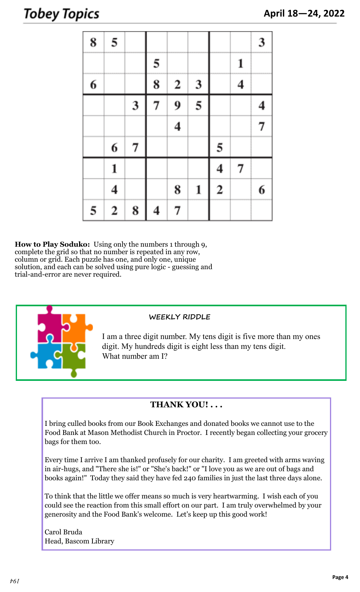### Tobey Topics

| 8 | 5            |   |   |                         |   |                         |                  | 3 |
|---|--------------|---|---|-------------------------|---|-------------------------|------------------|---|
|   |              |   | 5 |                         |   |                         | 1                |   |
| 6 |              |   | 8 | $\mathbf{2}$            | 3 |                         | $\boldsymbol{4}$ |   |
|   |              | 3 | 7 | 9                       | 5 |                         |                  | 4 |
|   |              |   |   | $\overline{\mathbf{4}}$ |   |                         |                  | 7 |
|   | 6            | 7 |   |                         |   | 5                       |                  |   |
|   | $\mathbf{1}$ |   |   |                         |   | $\overline{\mathbf{4}}$ | 7                |   |
|   | 4            |   |   | 8                       | 1 | $\overline{2}$          |                  | 6 |
| 5 | $\mathbf{2}$ | 8 | 4 | 7                       |   |                         |                  |   |

**How to Play Soduko:** Using only the numbers 1 through 9, complete the grid so that no number is repeated in any row, column or grid. Each puzzle has one, and only one, unique solution, and each can be solved using pure logic - guessing and trial-and-error are never required.



#### **WEEKLY RIDDLE**

I am a three digit number. My tens digit is five more than my ones digit. My hundreds digit is eight less than my tens digit. What number am I?

#### **THANK YOU! . . .**

I bring culled books from our Book Exchanges and donated books we cannot use to the Food Bank at Mason Methodist Church in Proctor. I recently began collecting your grocery bags for them too.

Every time I arrive I am thanked profusely for our charity. I am greeted with arms waving in air-hugs, and "There she is!" or "She's back!" or "I love you as we are out of bags and books again!" Today they said they have fed 240 families in just the last three days alone.

To think that the little we offer means so much is very heartwarming. I wish each of you could see the reaction from this small effort on our part. I am truly overwhelmed by your generosity and the Food Bank's welcome. Let's keep up this good work!

Carol Bruda Head, Bascom Library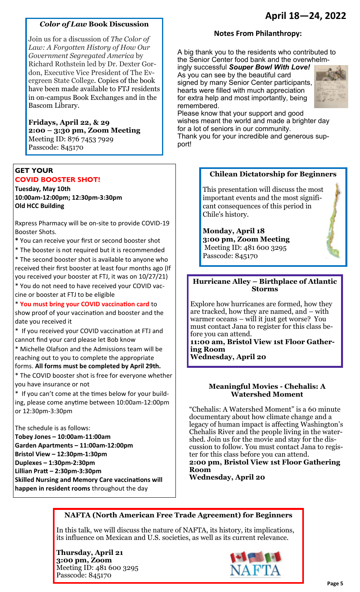#### *Color of Law* **Book Discussion**

Join us for a discussion of *The Color of Law: A Forgotten History of How Our Government Segregated America* by Richard Rothstein led by Dr. Dexter Gordon, Executive Vice President of The Evergreen State College. Copies of the book have been made available to FTJ residents in on-campus Book Exchanges and in the Bascom Library.

#### **Fridays, April 22, & 29 2:00 – 3:30 pm, Zoom Meeting** Meeting ID: 876 7453 7929 Passcode: 845170

#### **GET YOUR COVID BOOSTER SHOT!**

**Tuesday, May 10th 10:00am-12:00pm; 12:30pm-3:30pm Old HCC Building** 

Rxpress Pharmacy will be on-site to provide COVID-19 Booster Shots.

**\*** You can receive your first or second booster shot

\* The booster is not required but it is recommended

\* The second booster shot is available to anyone who received their first booster at least four months ago (If you received your booster at FTJ, it was on 10/27/21)

\* You do not need to have received your COVID vaccine or booster at FTJ to be eligible

\* **You must bring your COVID vaccination card** to show proof of your vaccination and booster and the

date you received it \* If you received your COVID vaccination at FTJ and cannot find your card please let Bob know

\* Michelle Olafson and the Admissions team will be reaching out to you to complete the appropriate

forms. **All forms must be completed by April 29th.** 

\* The COVID booster shot is free for everyone whether you have insurance or not

\* If you can't come at the times below for your building, please come anytime between 10:00am-12:00pm or 12:30pm-3:30pm

The schedule is as follows:

**Tobey Jones – 10:00am-11:00am Garden Apartments – 11:00am-12:00pm Bristol View – 12:30pm-1:30pm Duplexes – 1:30pm-2:30pm Lillian Pratt – 2:30pm-3:30pm Skilled Nursing and Memory Care vaccinations will happen in resident rooms** throughout the day

#### **Notes From Philanthropy:**

A big thank you to the residents who contributed to the Senior Center food bank and the overwhelm-

ingly successful *Souper Bowl With Love!* As you can see by the beautiful card signed by many Senior Center participants, hearts were filled with much appreciation for extra help and most importantly, being remembered.



Please know that your support and good wishes meant the world and made a brighter day for a lot of seniors in our community. Thank you for your incredible and generous sup-

port!

#### **Chilean Dictatorship for Beginners**

This presentation will discuss the most important events and the most significant consequences of this period in Chile's history.

**Monday, April 18 3:00 pm, Zoom Meeting** Meeting ID: 481 600 3295 Passcode: 845170

#### **Hurricane Alley – Birthplace of Atlantic Storms**

Explore how hurricanes are formed, how they are tracked, how they are named, and – with warmer oceans – will it just get worse? You must contact Jana to register for this class before you can attend. **11:00 am, Bristol View 1st Floor Gather-**

**ing Room** 

**Wednesday, April 20** 

#### **Meaningful Movies - Chehalis: A Watershed Moment**

"Chehalis: A Watershed Moment" is a 60 minute documentary about how climate change and a legacy of human impact is affecting Washington's Chehalis River and the people living in the watershed. Join us for the movie and stay for the discussion to follow. You must contact Jana to register for this class before you can attend. **2:00 pm, Bristol View 1st Floor Gathering Room** 

**Wednesday, April 20** 

#### **NAFTA (North American Free Trade Agreement) for Beginners**

In this talk, we will discuss the nature of NAFTA, its history, its implications, its influence on Mexican and U.S. societies, as well as its current relevance.

**Thursday, April 21 3:00 pm, Zoom**  Meeting ID: 481 600 3295 Passcode: 845170